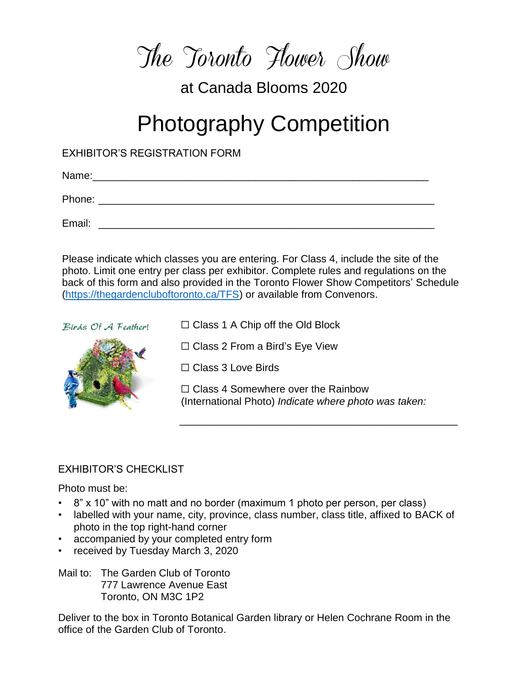The Toronto Flower Show

## at Canada Blooms 2020

# Photography Competition

EXHIBITOR'S REGISTRATION FORM

Name:\_\_\_\_\_\_\_\_\_\_\_\_\_\_\_\_\_\_\_\_\_\_\_\_\_\_\_\_\_\_\_\_\_\_\_\_\_\_\_\_\_\_\_\_\_\_\_\_\_\_\_\_\_\_\_\_\_\_ Phone:  $\blacksquare$ Email: \_\_\_\_\_\_\_\_\_\_\_\_\_\_\_\_\_\_\_\_\_\_\_\_\_\_\_\_\_\_\_\_\_\_\_\_\_\_\_\_\_\_\_\_\_\_\_\_\_\_\_\_\_\_\_\_\_\_

Please indicate which classes you are entering. For Class 4, include the site of the photo. Limit one entry per class per exhibitor. Complete rules and regulations on the back of this form and also provided in the Toronto Flower Show Competitors' Schedule [\(https://thegardencluboftoronto.ca/TFS\)](https://thegardencluboftoronto.ca/TFS) or available from Convenors.

Birds Of A Feather!



☐ Class 1 A Chip off the Old Block

☐ Class 2 From a Bird's Eye View

☐ Class 3 Love Birds

☐ Class 4 Somewhere over the Rainbow (International Photo) *Indicate where photo was taken:*

\_\_\_\_\_\_\_\_\_\_\_\_\_\_\_\_\_\_\_\_\_\_\_\_\_\_\_\_\_\_\_\_\_\_\_\_\_\_\_\_\_\_\_\_\_\_\_\_

#### **EXHIBITOR'S CHECKLIST**

Photo must be:

- 8" x 10" with no matt and no border (maximum 1 photo per person, per class)
- labelled with your name, city, province, class number, class title, affixed to BACK of photo in the top right-hand corner
- accompanied by your completed entry form
- received by Tuesday March 3, 2020

Mail to: The Garden Club of Toronto 777 Lawrence Avenue East Toronto, ON M3C 1P2

Deliver to the box in Toronto Botanical Garden library or Helen Cochrane Room in the office of the Garden Club of Toronto.